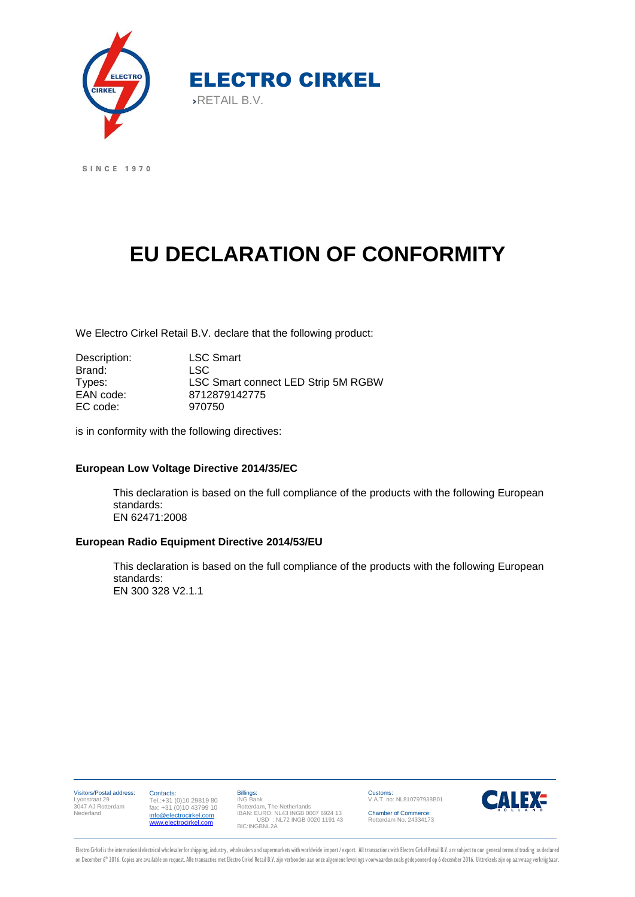

SINCE 1970

# **EU DECLARATION OF CONFORMITY**

We Electro Cirkel Retail B.V. declare that the following product:

Description: LSC Smart Brand: LSC Types: LSC Smart connect LED Strip 5M RGBW EAN code: 8712879142775 EC code: 970750

is in conformity with the following directives:

#### **European Low Voltage Directive 2014/35/EC**

This declaration is based on the full compliance of the products with the following European standards: EN 62471:2008

#### **European Radio Equipment Directive 2014/53/EU**

This declaration is based on the full compliance of the products with the following European standards: EN 300 328 V2.1.1

Visitors/Postal address: Customs: Contacts: Billings: ING Bank Rotterdam, The Netherlands IBAN: EURO: NL43 INGB 0007 6924 13 USD : NL72 INGB 0020 1191 43 BIC:INGBNL2A **CALEX-**V.A.T. no: NL810797938B01 Lyonstraat 29 3047 AJ Rotterdam Tel.:+31 (0)10 29819 80 fax: +31 (0)10 43799 10 Nederland Chamber of Commerce: Rotterdam No. 24334173 [info@electrocirkel.com](mailto:info@electrocirkel.com) [www.electrocirkel.com](http://www.electrocirkel.com/)

Electro Cirkel is the international electrical wholesaler for shipping, industry, wholesalers and supermarkets with worldwide import / export. All transactions with Electro Cirkel Retail B.V. are subject to our general ter on December 6th 2016. Copies are available on request. Alle transacties met Electro Cirkel Retail B.V. zijn verbonden aan onze algemene leverings voorwaarden zoals gedeponeerd op 6 december 2016. Uittreksels zijn op aanvra